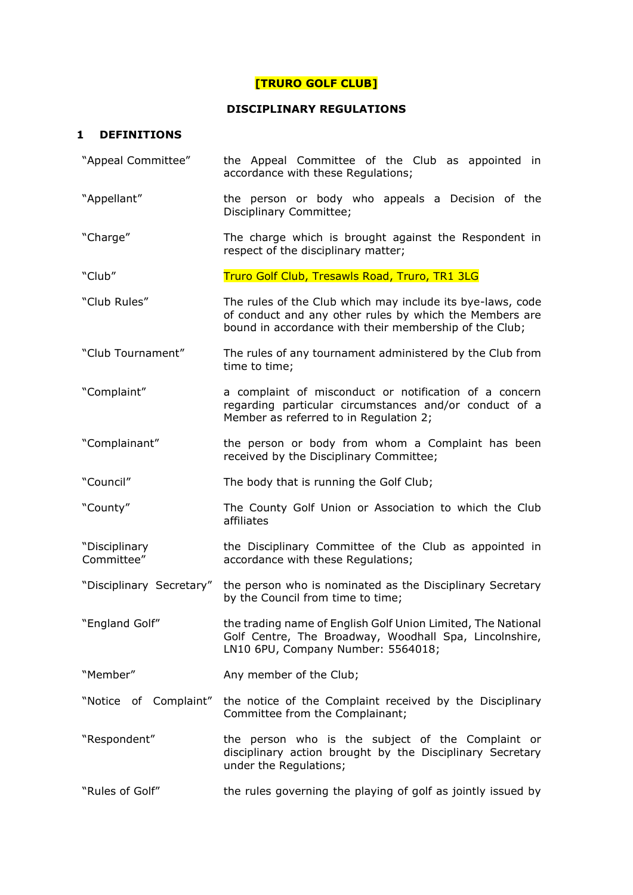# **[TRURO GOLF CLUB]**

### **DISCIPLINARY REGULATIONS**

### **1 DEFINITIONS**

- "Appeal Committee" the Appeal Committee of the Club as appointed in accordance with these Regulations;
- "Appellant" the person or body who appeals a Decision of the Disciplinary Committee;
- "Charge" The charge which is brought against the Respondent in respect of the disciplinary matter;
- "Club" Truro Golf Club, Tresawls Road, Truro, TR1 3LG
- "Club Rules" The rules of the Club which may include its bye-laws, code of conduct and any other rules by which the Members are bound in accordance with their membership of the Club;
- "Club Tournament" The rules of any tournament administered by the Club from time to time;
- "Complaint" a complaint of misconduct or notification of a concern regarding particular circumstances and/or conduct of a Member as referred to in Regulation 2;
- "Complainant" the person or body from whom a Complaint has been received by the Disciplinary Committee;

"Council" The body that is running the Golf Club;

"County" The County Golf Union or Association to which the Club affiliates

"Disciplinary Committee" the Disciplinary Committee of the Club as appointed in accordance with these Regulations;

- "Disciplinary Secretary" the person who is nominated as the Disciplinary Secretary by the Council from time to time;
- "England Golf" the trading name of English Golf Union Limited, The National Golf Centre, The Broadway, Woodhall Spa, Lincolnshire, LN10 6PU, Company Number: 5564018;
- "Member" Any member of the Club;
- "Notice of Complaint" the notice of the Complaint received by the Disciplinary Committee from the Complainant;
- "Respondent" the person who is the subject of the Complaint or disciplinary action brought by the Disciplinary Secretary under the Regulations;
- "Rules of Golf" the rules governing the playing of golf as jointly issued by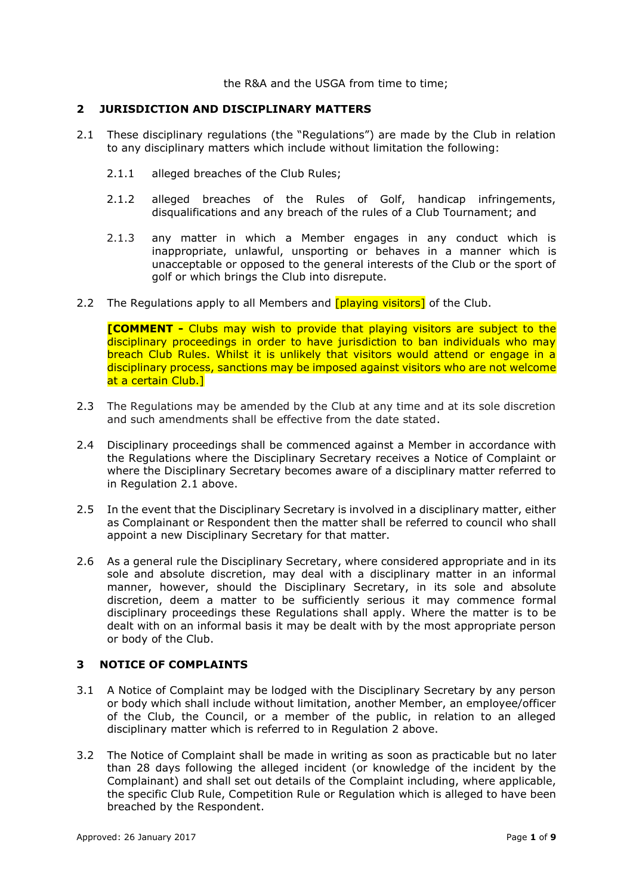the R&A and the USGA from time to time;

### **2 JURISDICTION AND DISCIPLINARY MATTERS**

- 2.1 These disciplinary regulations (the "Regulations") are made by the Club in relation to any disciplinary matters which include without limitation the following:
	- 2.1.1 alleged breaches of the Club Rules;
	- 2.1.2 alleged breaches of the Rules of Golf, handicap infringements, disqualifications and any breach of the rules of a Club Tournament; and
	- 2.1.3 any matter in which a Member engages in any conduct which is inappropriate, unlawful, unsporting or behaves in a manner which is unacceptable or opposed to the general interests of the Club or the sport of golf or which brings the Club into disrepute.
- 2.2 The Regulations apply to all Members and **[playing visitors]** of the Club.

**[COMMENT -** Clubs may wish to provide that playing visitors are subject to the disciplinary proceedings in order to have jurisdiction to ban individuals who may breach Club Rules. Whilst it is unlikely that visitors would attend or engage in a disciplinary process, sanctions may be imposed against visitors who are not welcome at a certain Club.1

- 2.3 The Regulations may be amended by the Club at any time and at its sole discretion and such amendments shall be effective from the date stated.
- 2.4 Disciplinary proceedings shall be commenced against a Member in accordance with the Regulations where the Disciplinary Secretary receives a Notice of Complaint or where the Disciplinary Secretary becomes aware of a disciplinary matter referred to in Regulation 2.1 above.
- 2.5 In the event that the Disciplinary Secretary is involved in a disciplinary matter, either as Complainant or Respondent then the matter shall be referred to council who shall appoint a new Disciplinary Secretary for that matter.
- 2.6 As a general rule the Disciplinary Secretary, where considered appropriate and in its sole and absolute discretion, may deal with a disciplinary matter in an informal manner, however, should the Disciplinary Secretary, in its sole and absolute discretion, deem a matter to be sufficiently serious it may commence formal disciplinary proceedings these Regulations shall apply. Where the matter is to be dealt with on an informal basis it may be dealt with by the most appropriate person or body of the Club.

# **3 NOTICE OF COMPLAINTS**

- 3.1 A Notice of Complaint may be lodged with the Disciplinary Secretary by any person or body which shall include without limitation, another Member, an employee/officer of the Club, the Council, or a member of the public, in relation to an alleged disciplinary matter which is referred to in Regulation 2 above.
- 3.2 The Notice of Complaint shall be made in writing as soon as practicable but no later than 28 days following the alleged incident (or knowledge of the incident by the Complainant) and shall set out details of the Complaint including, where applicable, the specific Club Rule, Competition Rule or Regulation which is alleged to have been breached by the Respondent.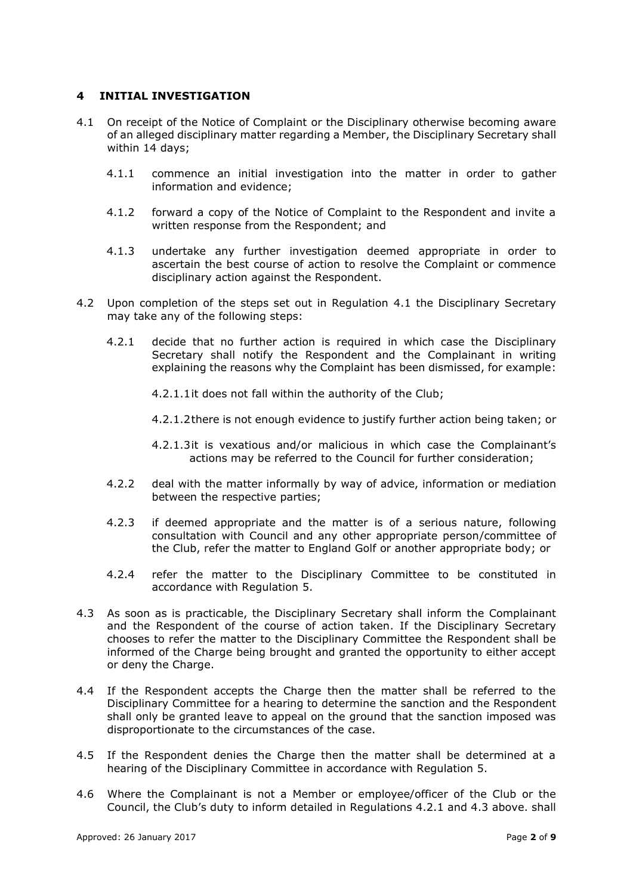### **4 INITIAL INVESTIGATION**

- 4.1 On receipt of the Notice of Complaint or the Disciplinary otherwise becoming aware of an alleged disciplinary matter regarding a Member, the Disciplinary Secretary shall within 14 days;
	- 4.1.1 commence an initial investigation into the matter in order to gather information and evidence;
	- 4.1.2 forward a copy of the Notice of Complaint to the Respondent and invite a written response from the Respondent; and
	- 4.1.3 undertake any further investigation deemed appropriate in order to ascertain the best course of action to resolve the Complaint or commence disciplinary action against the Respondent.
- 4.2 Upon completion of the steps set out in Regulation 4.1 the Disciplinary Secretary may take any of the following steps:
	- 4.2.1 decide that no further action is required in which case the Disciplinary Secretary shall notify the Respondent and the Complainant in writing explaining the reasons why the Complaint has been dismissed, for example:
		- 4.2.1.1it does not fall within the authority of the Club;
		- 4.2.1.2there is not enough evidence to justify further action being taken; or
		- 4.2.1.3it is vexatious and/or malicious in which case the Complainant's actions may be referred to the Council for further consideration;
	- 4.2.2 deal with the matter informally by way of advice, information or mediation between the respective parties;
	- 4.2.3 if deemed appropriate and the matter is of a serious nature, following consultation with Council and any other appropriate person/committee of the Club, refer the matter to England Golf or another appropriate body; or
	- 4.2.4 refer the matter to the Disciplinary Committee to be constituted in accordance with Regulation 5.
- 4.3 As soon as is practicable, the Disciplinary Secretary shall inform the Complainant and the Respondent of the course of action taken. If the Disciplinary Secretary chooses to refer the matter to the Disciplinary Committee the Respondent shall be informed of the Charge being brought and granted the opportunity to either accept or deny the Charge.
- 4.4 If the Respondent accepts the Charge then the matter shall be referred to the Disciplinary Committee for a hearing to determine the sanction and the Respondent shall only be granted leave to appeal on the ground that the sanction imposed was disproportionate to the circumstances of the case.
- 4.5 If the Respondent denies the Charge then the matter shall be determined at a hearing of the Disciplinary Committee in accordance with Regulation 5.
- 4.6 Where the Complainant is not a Member or employee/officer of the Club or the Council, the Club's duty to inform detailed in Regulations 4.2.1 and 4.3 above. shall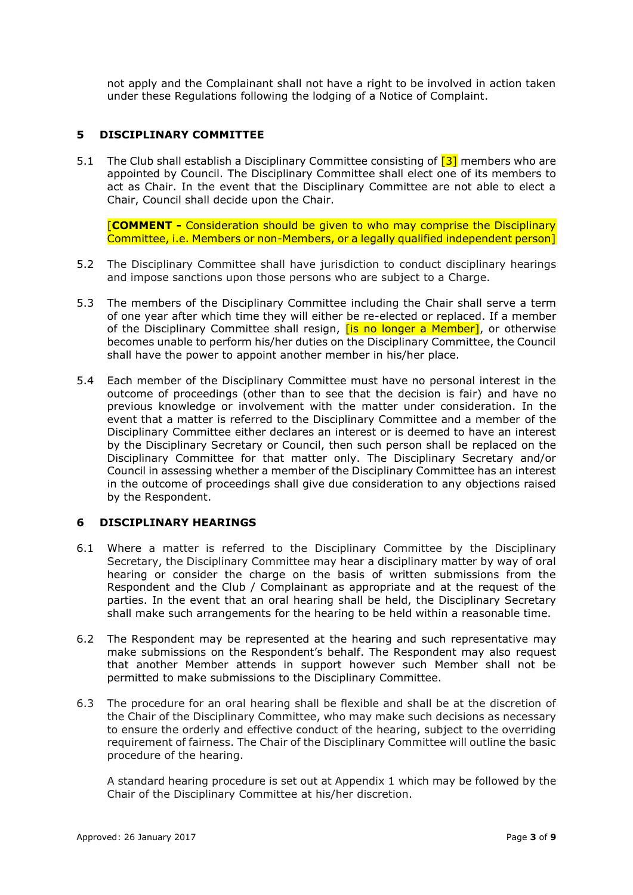not apply and the Complainant shall not have a right to be involved in action taken under these Regulations following the lodging of a Notice of Complaint.

# **5 DISCIPLINARY COMMITTEE**

5.1 The Club shall establish a Disciplinary Committee consisting of [3] members who are appointed by Council. The Disciplinary Committee shall elect one of its members to act as Chair. In the event that the Disciplinary Committee are not able to elect a Chair, Council shall decide upon the Chair.

[**COMMENT -** Consideration should be given to who may comprise the Disciplinary Committee, i.e. Members or non-Members, or a legally qualified independent person]

- 5.2 The Disciplinary Committee shall have jurisdiction to conduct disciplinary hearings and impose sanctions upon those persons who are subject to a Charge.
- 5.3 The members of the Disciplinary Committee including the Chair shall serve a term of one year after which time they will either be re-elected or replaced. If a member of the Disciplinary Committee shall resign, *[is no longer a Member]*, or otherwise becomes unable to perform his/her duties on the Disciplinary Committee, the Council shall have the power to appoint another member in his/her place.
- 5.4 Each member of the Disciplinary Committee must have no personal interest in the outcome of proceedings (other than to see that the decision is fair) and have no previous knowledge or involvement with the matter under consideration. In the event that a matter is referred to the Disciplinary Committee and a member of the Disciplinary Committee either declares an interest or is deemed to have an interest by the Disciplinary Secretary or Council, then such person shall be replaced on the Disciplinary Committee for that matter only. The Disciplinary Secretary and/or Council in assessing whether a member of the Disciplinary Committee has an interest in the outcome of proceedings shall give due consideration to any objections raised by the Respondent.

# **6 DISCIPLINARY HEARINGS**

- 6.1 Where a matter is referred to the Disciplinary Committee by the Disciplinary Secretary, the Disciplinary Committee may hear a disciplinary matter by way of oral hearing or consider the charge on the basis of written submissions from the Respondent and the Club / Complainant as appropriate and at the request of the parties. In the event that an oral hearing shall be held, the Disciplinary Secretary shall make such arrangements for the hearing to be held within a reasonable time.
- 6.2 The Respondent may be represented at the hearing and such representative may make submissions on the Respondent's behalf. The Respondent may also request that another Member attends in support however such Member shall not be permitted to make submissions to the Disciplinary Committee.
- 6.3 The procedure for an oral hearing shall be flexible and shall be at the discretion of the Chair of the Disciplinary Committee, who may make such decisions as necessary to ensure the orderly and effective conduct of the hearing, subject to the overriding requirement of fairness. The Chair of the Disciplinary Committee will outline the basic procedure of the hearing.

A standard hearing procedure is set out at Appendix 1 which may be followed by the Chair of the Disciplinary Committee at his/her discretion.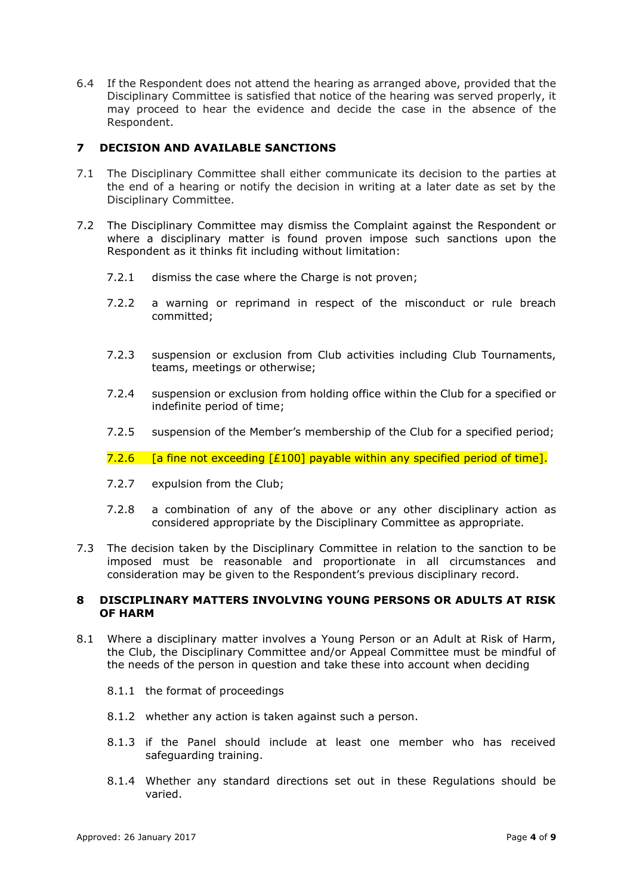6.4 If the Respondent does not attend the hearing as arranged above, provided that the Disciplinary Committee is satisfied that notice of the hearing was served properly, it may proceed to hear the evidence and decide the case in the absence of the Respondent.

# **7 DECISION AND AVAILABLE SANCTIONS**

- 7.1 The Disciplinary Committee shall either communicate its decision to the parties at the end of a hearing or notify the decision in writing at a later date as set by the Disciplinary Committee.
- 7.2 The Disciplinary Committee may dismiss the Complaint against the Respondent or where a disciplinary matter is found proven impose such sanctions upon the Respondent as it thinks fit including without limitation:
	- 7.2.1 dismiss the case where the Charge is not proven;
	- 7.2.2 a warning or reprimand in respect of the misconduct or rule breach committed;
	- 7.2.3 suspension or exclusion from Club activities including Club Tournaments, teams, meetings or otherwise;
	- 7.2.4 suspension or exclusion from holding office within the Club for a specified or indefinite period of time;
	- 7.2.5 suspension of the Member's membership of the Club for a specified period;

7.2.6  $\left[$  a fine not exceeding  $\left[$  £100] payable within any specified period of time].

- 7.2.7 expulsion from the Club;
- 7.2.8 a combination of any of the above or any other disciplinary action as considered appropriate by the Disciplinary Committee as appropriate.
- 7.3 The decision taken by the Disciplinary Committee in relation to the sanction to be imposed must be reasonable and proportionate in all circumstances and consideration may be given to the Respondent's previous disciplinary record.

### **8 DISCIPLINARY MATTERS INVOLVING YOUNG PERSONS OR ADULTS AT RISK OF HARM**

- 8.1 Where a disciplinary matter involves a Young Person or an Adult at Risk of Harm, the Club, the Disciplinary Committee and/or Appeal Committee must be mindful of the needs of the person in question and take these into account when deciding
	- 8.1.1 the format of proceedings
	- 8.1.2 whether any action is taken against such a person.
	- 8.1.3 if the Panel should include at least one member who has received safeguarding training.
	- 8.1.4 Whether any standard directions set out in these Regulations should be varied.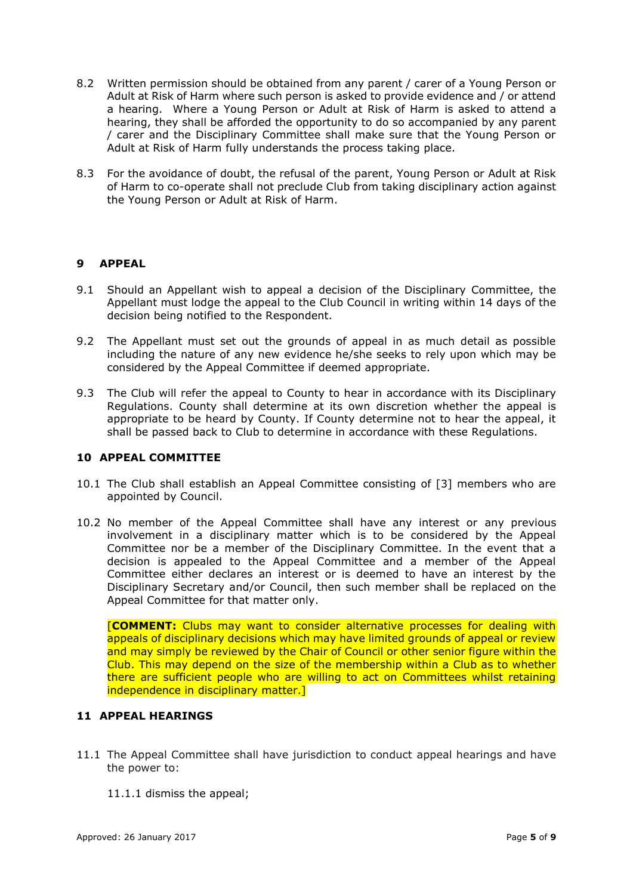- 8.2 Written permission should be obtained from any parent / carer of a Young Person or Adult at Risk of Harm where such person is asked to provide evidence and / or attend a hearing. Where a Young Person or Adult at Risk of Harm is asked to attend a hearing, they shall be afforded the opportunity to do so accompanied by any parent / carer and the Disciplinary Committee shall make sure that the Young Person or Adult at Risk of Harm fully understands the process taking place.
- 8.3 For the avoidance of doubt, the refusal of the parent, Young Person or Adult at Risk of Harm to co-operate shall not preclude Club from taking disciplinary action against the Young Person or Adult at Risk of Harm.

# **9 APPEAL**

- 9.1 Should an Appellant wish to appeal a decision of the Disciplinary Committee, the Appellant must lodge the appeal to the Club Council in writing within 14 days of the decision being notified to the Respondent.
- 9.2 The Appellant must set out the grounds of appeal in as much detail as possible including the nature of any new evidence he/she seeks to rely upon which may be considered by the Appeal Committee if deemed appropriate.
- 9.3 The Club will refer the appeal to County to hear in accordance with its Disciplinary Regulations. County shall determine at its own discretion whether the appeal is appropriate to be heard by County. If County determine not to hear the appeal, it shall be passed back to Club to determine in accordance with these Regulations.

### **10 APPEAL COMMITTEE**

- 10.1 The Club shall establish an Appeal Committee consisting of [3] members who are appointed by Council.
- 10.2 No member of the Appeal Committee shall have any interest or any previous involvement in a disciplinary matter which is to be considered by the Appeal Committee nor be a member of the Disciplinary Committee. In the event that a decision is appealed to the Appeal Committee and a member of the Appeal Committee either declares an interest or is deemed to have an interest by the Disciplinary Secretary and/or Council, then such member shall be replaced on the Appeal Committee for that matter only.

[**COMMENT:** Clubs may want to consider alternative processes for dealing with appeals of disciplinary decisions which may have limited grounds of appeal or review and may simply be reviewed by the Chair of Council or other senior figure within the Club. This may depend on the size of the membership within a Club as to whether there are sufficient people who are willing to act on Committees whilst retaining independence in disciplinary matter.]

# **11 APPEAL HEARINGS**

- 11.1 The Appeal Committee shall have jurisdiction to conduct appeal hearings and have the power to:
	- 11.1.1 dismiss the appeal;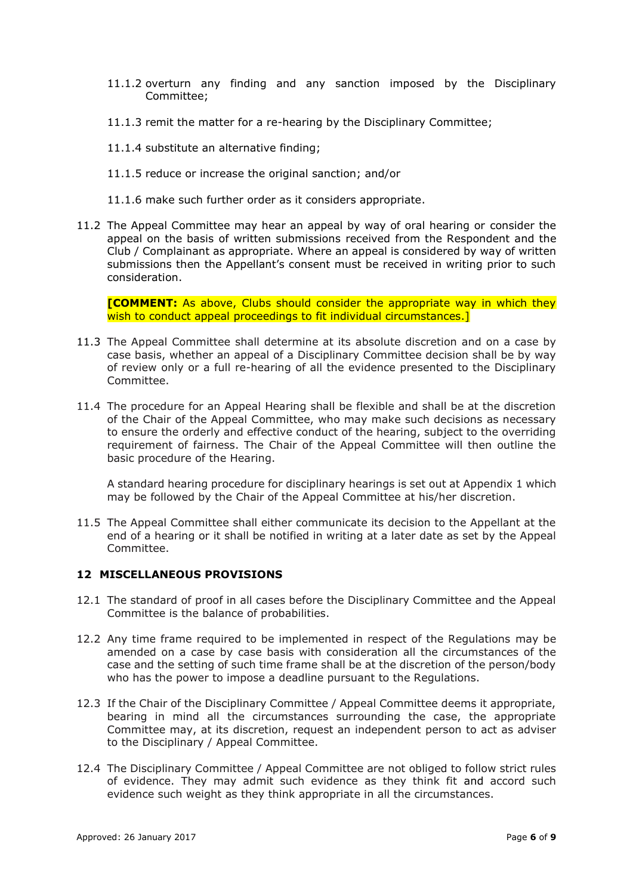- 11.1.2 overturn any finding and any sanction imposed by the Disciplinary Committee;
- 11.1.3 remit the matter for a re-hearing by the Disciplinary Committee;
- 11.1.4 substitute an alternative finding;
- 11.1.5 reduce or increase the original sanction; and/or
- 11.1.6 make such further order as it considers appropriate.
- 11.2 The Appeal Committee may hear an appeal by way of oral hearing or consider the appeal on the basis of written submissions received from the Respondent and the Club / Complainant as appropriate. Where an appeal is considered by way of written submissions then the Appellant's consent must be received in writing prior to such consideration.

**[COMMENT:** As above, Clubs should consider the appropriate way in which they wish to conduct appeal proceedings to fit individual circumstances.]

- 11.3 The Appeal Committee shall determine at its absolute discretion and on a case by case basis, whether an appeal of a Disciplinary Committee decision shall be by way of review only or a full re-hearing of all the evidence presented to the Disciplinary Committee.
- 11.4 The procedure for an Appeal Hearing shall be flexible and shall be at the discretion of the Chair of the Appeal Committee, who may make such decisions as necessary to ensure the orderly and effective conduct of the hearing, subject to the overriding requirement of fairness. The Chair of the Appeal Committee will then outline the basic procedure of the Hearing.

A standard hearing procedure for disciplinary hearings is set out at Appendix 1 which may be followed by the Chair of the Appeal Committee at his/her discretion.

11.5 The Appeal Committee shall either communicate its decision to the Appellant at the end of a hearing or it shall be notified in writing at a later date as set by the Appeal Committee.

### **12 MISCELLANEOUS PROVISIONS**

- 12.1 The standard of proof in all cases before the Disciplinary Committee and the Appeal Committee is the balance of probabilities.
- 12.2 Any time frame required to be implemented in respect of the Regulations may be amended on a case by case basis with consideration all the circumstances of the case and the setting of such time frame shall be at the discretion of the person/body who has the power to impose a deadline pursuant to the Regulations.
- 12.3 If the Chair of the Disciplinary Committee / Appeal Committee deems it appropriate, bearing in mind all the circumstances surrounding the case, the appropriate Committee may, at its discretion, request an independent person to act as adviser to the Disciplinary / Appeal Committee.
- 12.4 The Disciplinary Committee / Appeal Committee are not obliged to follow strict rules of evidence. They may admit such evidence as they think fit and accord such evidence such weight as they think appropriate in all the circumstances.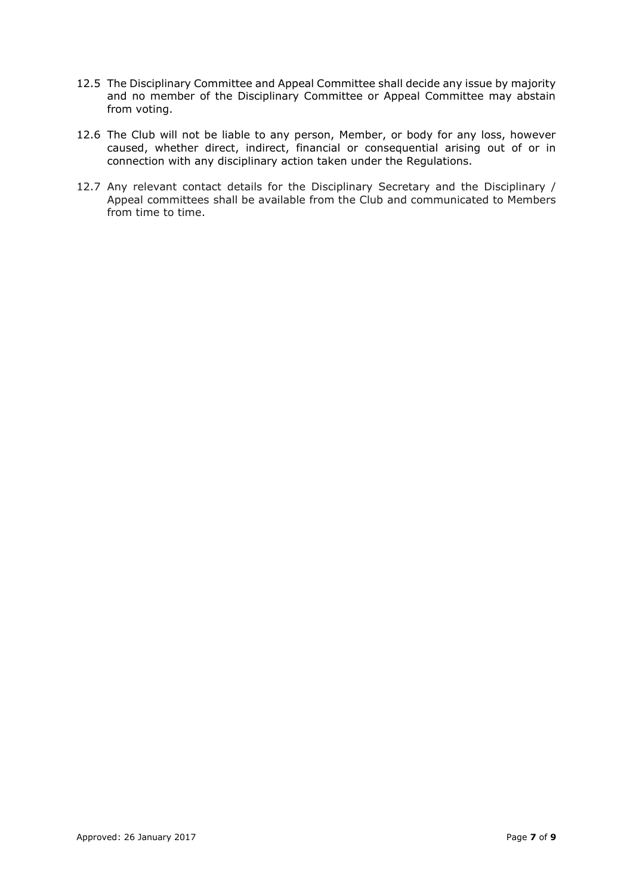- 12.5 The Disciplinary Committee and Appeal Committee shall decide any issue by majority and no member of the Disciplinary Committee or Appeal Committee may abstain from voting.
- 12.6 The Club will not be liable to any person, Member, or body for any loss, however caused, whether direct, indirect, financial or consequential arising out of or in connection with any disciplinary action taken under the Regulations.
- 12.7 Any relevant contact details for the Disciplinary Secretary and the Disciplinary / Appeal committees shall be available from the Club and communicated to Members from time to time.